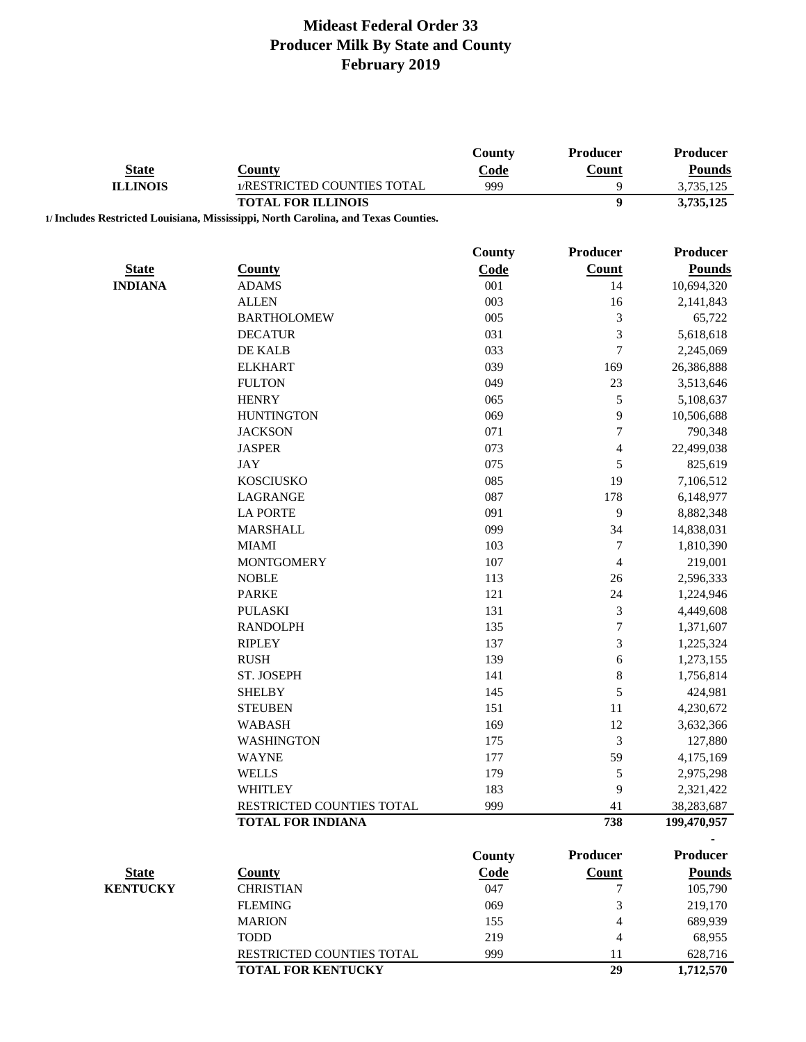|                                 |                                                                                    | County      | Producer             | Producer                  |
|---------------------------------|------------------------------------------------------------------------------------|-------------|----------------------|---------------------------|
| <b>State</b><br><b>ILLINOIS</b> | <b>County</b>                                                                      | Code        | Count                | <b>Pounds</b>             |
|                                 | 1/RESTRICTED COUNTIES TOTAL                                                        | 999         | 9                    | 3,735,125                 |
|                                 | <b>TOTAL FOR ILLINOIS</b>                                                          |             | $\overline{9}$       | 3,735,125                 |
|                                 | 1/ Includes Restricted Louisiana, Mississippi, North Carolina, and Texas Counties. |             |                      |                           |
|                                 |                                                                                    | County      | <b>Producer</b>      | Producer                  |
| <b>State</b>                    | <b>County</b>                                                                      | Code        | <b>Count</b>         | <b>Pounds</b>             |
| <b>INDIANA</b>                  | <b>ADAMS</b>                                                                       | 001         | 14                   | 10,694,320                |
|                                 | <b>ALLEN</b>                                                                       | 003         | 16                   | 2,141,843                 |
|                                 | <b>BARTHOLOMEW</b>                                                                 | 005         | $\mathfrak{Z}$       | 65,722                    |
|                                 | <b>DECATUR</b>                                                                     | 031         | $\mathfrak{Z}$       | 5,618,618                 |
|                                 | DE KALB                                                                            | 033         | $\tau$               | 2,245,069                 |
|                                 | <b>ELKHART</b>                                                                     | 039         | 169                  | 26,386,888                |
|                                 | <b>FULTON</b>                                                                      | 049         | 23                   | 3,513,646                 |
|                                 | <b>HENRY</b>                                                                       | 065         | $\mathfrak s$        | 5,108,637                 |
|                                 | <b>HUNTINGTON</b>                                                                  | 069         | 9                    | 10,506,688                |
|                                 | <b>JACKSON</b>                                                                     | 071         | $\boldsymbol{7}$     | 790,348                   |
|                                 | <b>JASPER</b>                                                                      | 073         | $\overline{4}$       | 22,499,038                |
|                                 | <b>JAY</b>                                                                         | 075         | 5                    | 825,619                   |
|                                 | <b>KOSCIUSKO</b>                                                                   | 085         | 19                   | 7,106,512                 |
|                                 | <b>LAGRANGE</b>                                                                    | 087         | 178                  | 6,148,977                 |
|                                 | <b>LA PORTE</b>                                                                    | 091         | 9                    | 8,882,348                 |
|                                 | <b>MARSHALL</b>                                                                    | 099         | 34                   | 14,838,031                |
|                                 | <b>MIAMI</b>                                                                       | 103         | $\tau$               | 1,810,390                 |
|                                 | <b>MONTGOMERY</b>                                                                  | 107         |                      | 219,001                   |
|                                 | <b>NOBLE</b>                                                                       | 113         | $\overline{4}$<br>26 | 2,596,333                 |
|                                 | <b>PARKE</b>                                                                       | 121         | 24                   | 1,224,946                 |
|                                 | <b>PULASKI</b>                                                                     | 131         | $\mathfrak{Z}$       | 4,449,608                 |
|                                 | <b>RANDOLPH</b>                                                                    | 135         | $\boldsymbol{7}$     |                           |
|                                 |                                                                                    |             | $\mathfrak{Z}$       | 1,371,607                 |
|                                 | <b>RIPLEY</b><br><b>RUSH</b>                                                       | 137<br>139  |                      | 1,225,324                 |
|                                 | ST. JOSEPH                                                                         | 141         | 6<br>$\,$ $\,$       | 1,273,155                 |
|                                 | <b>SHELBY</b>                                                                      | 145         | 5                    | 1,756,814                 |
|                                 |                                                                                    | 151         | 11                   | 424,981<br>4,230,672      |
|                                 | <b>STEUBEN</b><br><b>WABASH</b>                                                    | 169         | 12                   |                           |
|                                 | WASHINGTON                                                                         | 175         |                      | 3,632,366                 |
|                                 | <b>WAYNE</b>                                                                       | 177         | 3<br>59              | 127,880                   |
|                                 | <b>WELLS</b>                                                                       | 179         |                      | 4,175,169                 |
|                                 |                                                                                    |             | $\mathfrak s$        | 2,975,298                 |
|                                 | <b>WHITLEY</b><br>RESTRICTED COUNTIES TOTAL                                        | 183<br>999  | 9<br>41              | 2,321,422                 |
|                                 | <b>TOTAL FOR INDIANA</b>                                                           |             | 738                  | 38,283,687<br>199,470,957 |
|                                 |                                                                                    |             |                      |                           |
|                                 |                                                                                    | County      | <b>Producer</b>      | <b>Producer</b>           |
| <b>State</b>                    | <b>County</b>                                                                      | <b>Code</b> | <b>Count</b>         | <b>Pounds</b>             |
| <b>KENTUCKY</b>                 | <b>CHRISTIAN</b>                                                                   | 047         | 7                    | 105,790                   |
|                                 | <b>FLEMING</b>                                                                     | 069         | $\mathfrak{Z}$       | 219,170                   |
|                                 | <b>MARION</b>                                                                      | 155         | $\overline{4}$       | 689,939                   |
|                                 | <b>TODD</b>                                                                        | 219         | 4                    | 68,955                    |
|                                 | RESTRICTED COUNTIES TOTAL                                                          | 999         | 11                   | 628,716                   |
|                                 | <b>TOTAL FOR KENTUCKY</b>                                                          |             | 29                   | 1,712,570                 |
|                                 |                                                                                    |             |                      |                           |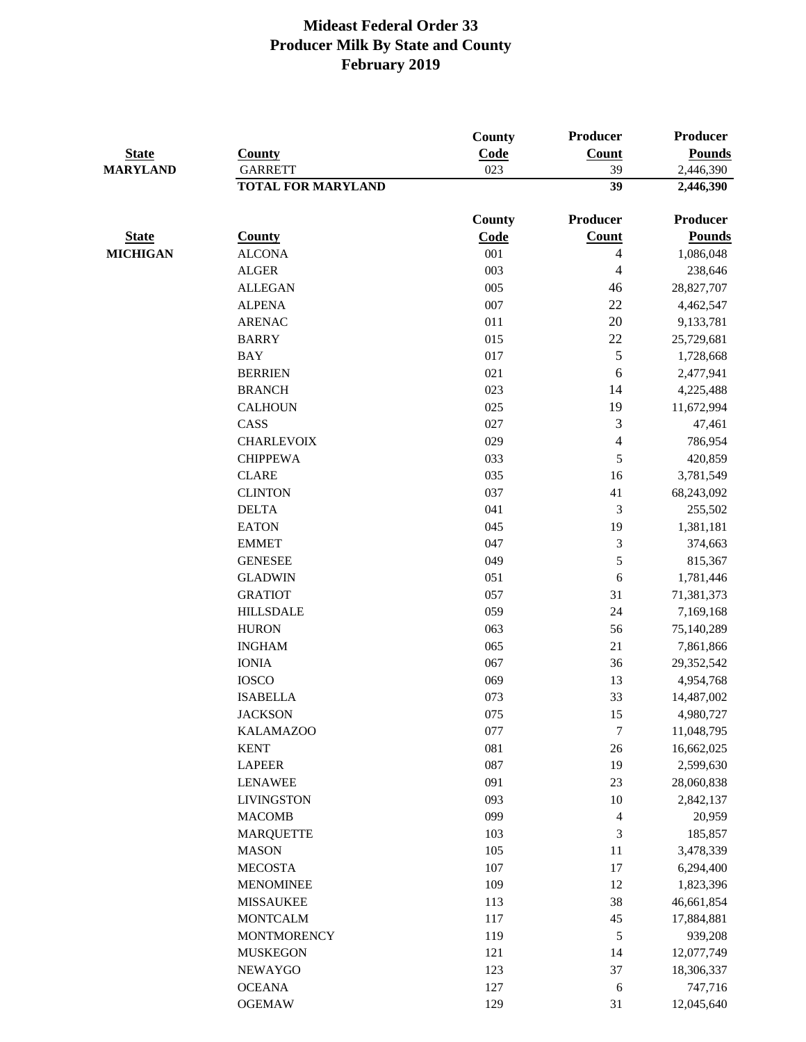|                 |                           | <b>County</b> | Producer                 | <b>Producer</b> |
|-----------------|---------------------------|---------------|--------------------------|-----------------|
| <b>State</b>    | <b>County</b>             | Code          | <b>Count</b>             | <b>Pounds</b>   |
| <b>MARYLAND</b> | <b>GARRETT</b>            | 023           | 39                       | 2,446,390       |
|                 | <b>TOTAL FOR MARYLAND</b> |               | 39                       | 2,446,390       |
|                 |                           |               |                          |                 |
|                 |                           | County        | Producer                 | Producer        |
| <b>State</b>    | <b>County</b>             | Code          | Count                    | <b>Pounds</b>   |
| <b>MICHIGAN</b> | <b>ALCONA</b>             | 001           | 4                        | 1,086,048       |
|                 | <b>ALGER</b>              | 003           | 4                        | 238,646         |
|                 | <b>ALLEGAN</b>            | 005           | 46                       | 28,827,707      |
|                 | <b>ALPENA</b>             | 007           | 22                       | 4,462,547       |
|                 | <b>ARENAC</b>             | 011           | $20\,$                   | 9,133,781       |
|                 | <b>BARRY</b>              | 015           | 22                       | 25,729,681      |
|                 | <b>BAY</b>                | 017           | 5                        | 1,728,668       |
|                 | <b>BERRIEN</b>            | 021           | 6                        | 2,477,941       |
|                 | <b>BRANCH</b>             | 023           | 14                       | 4,225,488       |
|                 | <b>CALHOUN</b>            | 025           | 19                       | 11,672,994      |
|                 | CASS                      | 027           | 3                        | 47,461          |
|                 | <b>CHARLEVOIX</b>         | 029           | $\overline{\mathcal{A}}$ | 786,954         |
|                 | <b>CHIPPEWA</b>           | 033           | $\sqrt{5}$               | 420,859         |
|                 | <b>CLARE</b>              | 035           | 16                       | 3,781,549       |
|                 | <b>CLINTON</b>            | 037           | 41                       | 68,243,092      |
|                 | <b>DELTA</b>              | 041           | $\mathfrak{Z}$           | 255,502         |
|                 | <b>EATON</b>              | 045           | 19                       | 1,381,181       |
|                 | <b>EMMET</b>              | 047           | 3                        | 374,663         |
|                 | <b>GENESEE</b>            | 049           | 5                        | 815,367         |
|                 | <b>GLADWIN</b>            | 051           | 6                        | 1,781,446       |
|                 | <b>GRATIOT</b>            | 057           | 31                       | 71,381,373      |
|                 | <b>HILLSDALE</b>          | 059           | $24\,$                   | 7,169,168       |
|                 | <b>HURON</b>              | 063           | 56                       | 75,140,289      |
|                 | <b>INGHAM</b>             | 065           | $21\,$                   | 7,861,866       |
|                 | <b>IONIA</b>              | 067           | 36                       | 29,352,542      |
|                 | <b>IOSCO</b>              | 069           | 13                       | 4,954,768       |
|                 | <b>ISABELLA</b>           | 073           | 33                       | 14,487,002      |
|                 |                           | 075           |                          |                 |
|                 | <b>JACKSON</b>            |               | 15                       | 4,980,727       |
|                 | <b>KALAMAZOO</b>          | 077           | $\tau$                   | 11,048,795      |
|                 | <b>KENT</b>               | 081           | $26\,$                   | 16,662,025      |
|                 | <b>LAPEER</b>             | 087           | 19                       | 2,599,630       |
|                 | <b>LENAWEE</b>            | 091           | 23                       | 28,060,838      |
|                 | <b>LIVINGSTON</b>         | 093           | 10                       | 2,842,137       |
|                 | <b>MACOMB</b>             | 099           | $\overline{4}$           | 20,959          |
|                 | <b>MARQUETTE</b>          | 103           | 3                        | 185,857         |
|                 | <b>MASON</b>              | 105           | 11                       | 3,478,339       |
|                 | <b>MECOSTA</b>            | 107           | 17                       | 6,294,400       |
|                 | <b>MENOMINEE</b>          | 109           | 12                       | 1,823,396       |
|                 | <b>MISSAUKEE</b>          | 113           | 38                       | 46,661,854      |
|                 | <b>MONTCALM</b>           | 117           | 45                       | 17,884,881      |
|                 | <b>MONTMORENCY</b>        | 119           | 5                        | 939,208         |
|                 | <b>MUSKEGON</b>           | 121           | 14                       | 12,077,749      |
|                 | <b>NEWAYGO</b>            | 123           | 37                       | 18,306,337      |
|                 | <b>OCEANA</b>             | 127           | $\sqrt{6}$               | 747,716         |
|                 | <b>OGEMAW</b>             | 129           | 31                       | 12,045,640      |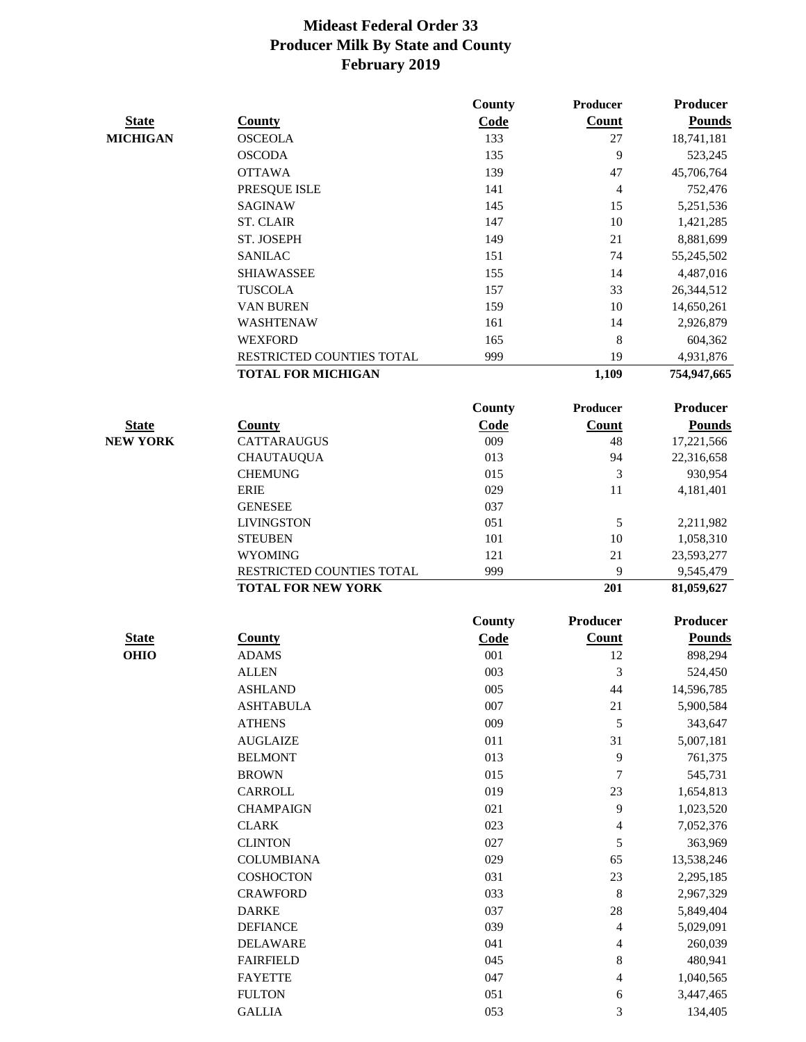|                 |                                  | <b>County</b> | <b>Producer</b> | <b>Producer</b>         |
|-----------------|----------------------------------|---------------|-----------------|-------------------------|
| <b>State</b>    | <b>County</b>                    | Code          | Count           | <b>Pounds</b>           |
| <b>MICHIGAN</b> | <b>OSCEOLA</b>                   | 133           | 27              | 18,741,181              |
|                 | <b>OSCODA</b>                    | 135           | 9               | 523,245                 |
|                 | <b>OTTAWA</b>                    | 139           | 47              | 45,706,764              |
|                 | PRESQUE ISLE                     | 141           | 4               | 752,476                 |
|                 | <b>SAGINAW</b>                   | 145           | 15              | 5,251,536               |
|                 | <b>ST. CLAIR</b>                 | 147           | 10              | 1,421,285               |
|                 | ST. JOSEPH                       | 149           | 21              | 8,881,699               |
|                 | <b>SANILAC</b>                   | 151           | 74              | 55,245,502              |
|                 | <b>SHIAWASSEE</b>                | 155           | 14              | 4,487,016               |
|                 | <b>TUSCOLA</b>                   | 157           | 33              | 26,344,512              |
|                 | VAN BUREN                        | 159           | 10              | 14,650,261              |
|                 | WASHTENAW                        | 161           | 14              | 2,926,879               |
|                 | <b>WEXFORD</b>                   | 165           | 8               | 604,362                 |
|                 | RESTRICTED COUNTIES TOTAL        | 999           | 19              | 4,931,876               |
|                 | <b>TOTAL FOR MICHIGAN</b>        |               | 1,109           | 754,947,665             |
|                 |                                  |               |                 |                         |
|                 |                                  | <b>County</b> | <b>Producer</b> | <b>Producer</b>         |
| <b>State</b>    | <b>County</b>                    | Code          | <b>Count</b>    | <b>Pounds</b>           |
| <b>NEW YORK</b> | <b>CATTARAUGUS</b>               | 009           | 48              | 17,221,566              |
|                 | <b>CHAUTAUQUA</b>                | 013           | 94              | 22,316,658              |
|                 | <b>CHEMUNG</b>                   | 015           | 3               | 930,954                 |
|                 | <b>ERIE</b><br><b>GENESEE</b>    | 029<br>037    | 11              | 4,181,401               |
|                 |                                  |               |                 |                         |
|                 | <b>LIVINGSTON</b>                | 051<br>101    | 5<br>10         | 2,211,982               |
|                 | <b>STEUBEN</b><br><b>WYOMING</b> | 121           | 21              | 1,058,310<br>23,593,277 |
|                 | RESTRICTED COUNTIES TOTAL        | 999           | 9               | 9,545,479               |
|                 | <b>TOTAL FOR NEW YORK</b>        |               | 201             | 81,059,627              |
|                 |                                  |               |                 | <b>Producer</b>         |
|                 |                                  | <b>County</b> | Producer        |                         |
| <b>State</b>    | <b>County</b>                    | Code          | <b>Count</b>    | <b>Pounds</b>           |
| <b>OHIO</b>     | <b>ADAMS</b>                     | 001           | 12              | 898,294                 |
|                 | <b>ALLEN</b>                     | 003           | 3               | 524,450                 |
|                 | <b>ASHLAND</b>                   | 005           | 44              | 14,596,785              |
|                 | <b>ASHTABULA</b>                 | 007           | 21              | 5,900,584               |
|                 | <b>ATHENS</b>                    | 009           | 5               | 343,647                 |
|                 | <b>AUGLAIZE</b>                  | 011           | 31              | 5,007,181               |
|                 | <b>BELMONT</b>                   | 013           | 9               | 761,375                 |
|                 | <b>BROWN</b>                     | 015           | 7               | 545,731                 |
|                 | CARROLL                          | 019           | 23              | 1,654,813               |
|                 | <b>CHAMPAIGN</b>                 | 021           | 9               | 1,023,520               |
|                 | <b>CLARK</b>                     | 023           | 4               | 7,052,376               |
|                 | <b>CLINTON</b>                   | 027           | 5               | 363,969                 |
|                 | <b>COLUMBIANA</b>                | 029           | 65              | 13,538,246              |
|                 | COSHOCTON                        | 031           | 23              | 2,295,185               |
|                 | <b>CRAWFORD</b>                  | 033           | 8               | 2,967,329               |
|                 | <b>DARKE</b>                     | 037           | 28              | 5,849,404               |
|                 | <b>DEFIANCE</b>                  | 039           | 4               | 5,029,091               |
|                 | <b>DELAWARE</b>                  | 041           | 4               | 260,039                 |
|                 | <b>FAIRFIELD</b>                 | 045           | 8               | 480,941                 |
|                 | <b>FAYETTE</b>                   | 047           | 4               | 1,040,565               |
|                 | <b>FULTON</b>                    | 051           | 6               | 3,447,465               |
|                 | <b>GALLIA</b>                    | 053           | 3               | 134,405                 |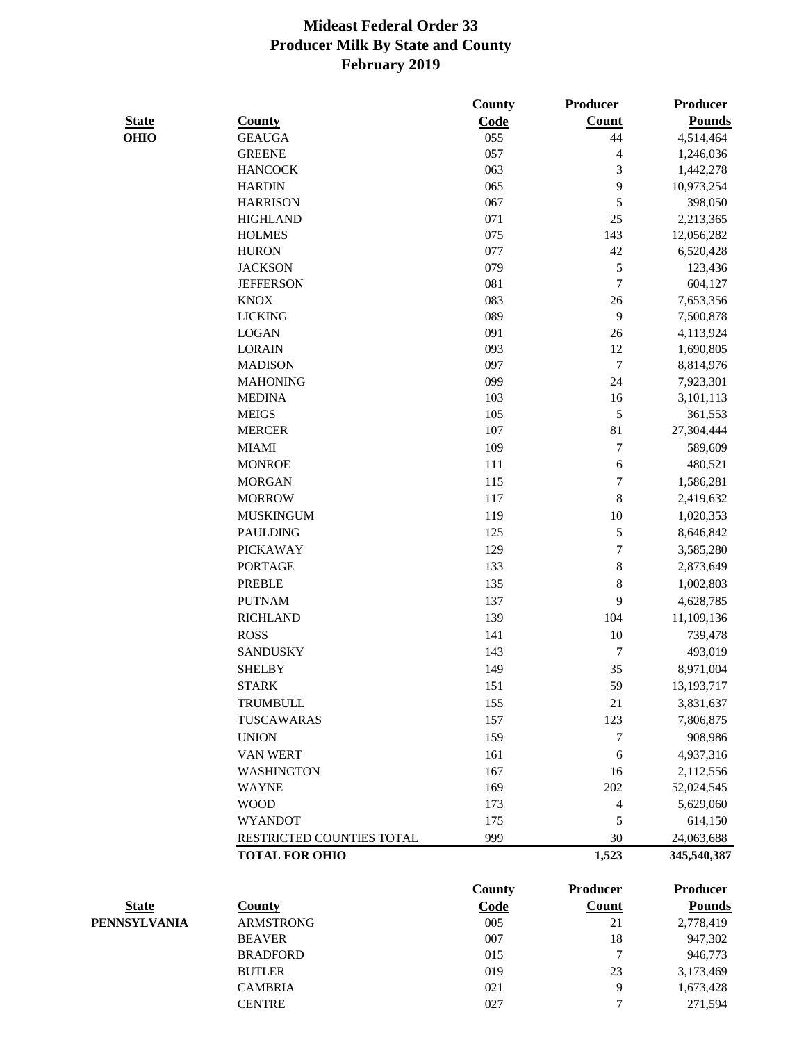|              |                           | County | Producer                 | Producer        |
|--------------|---------------------------|--------|--------------------------|-----------------|
| <b>State</b> | <b>County</b>             | Code   | <b>Count</b>             | <b>Pounds</b>   |
| <b>OHIO</b>  | <b>GEAUGA</b>             | 055    | 44                       | 4,514,464       |
|              | <b>GREENE</b>             | 057    | $\overline{\mathcal{L}}$ | 1,246,036       |
|              | <b>HANCOCK</b>            | 063    | $\mathfrak{Z}$           | 1,442,278       |
|              | <b>HARDIN</b>             | 065    | 9                        | 10,973,254      |
|              | <b>HARRISON</b>           | 067    | 5                        | 398,050         |
|              | <b>HIGHLAND</b>           | 071    | 25                       | 2,213,365       |
|              | <b>HOLMES</b>             | 075    | 143                      | 12,056,282      |
|              | <b>HURON</b>              | 077    | $42\,$                   | 6,520,428       |
|              | <b>JACKSON</b>            | 079    | 5                        | 123,436         |
|              | <b>JEFFERSON</b>          | 081    | $\tau$                   | 604,127         |
|              | <b>KNOX</b>               | 083    | 26                       | 7,653,356       |
|              | <b>LICKING</b>            | 089    | 9                        | 7,500,878       |
|              | <b>LOGAN</b>              | 091    | 26                       | 4,113,924       |
|              | <b>LORAIN</b>             | 093    | 12                       | 1,690,805       |
|              | <b>MADISON</b>            | 097    | $\boldsymbol{7}$         | 8,814,976       |
|              | <b>MAHONING</b>           | 099    | 24                       | 7,923,301       |
|              | <b>MEDINA</b>             | 103    | 16                       | 3,101,113       |
|              | <b>MEIGS</b>              | 105    | 5                        | 361,553         |
|              | <b>MERCER</b>             | 107    | $81\,$                   | 27,304,444      |
|              | <b>MIAMI</b>              | 109    | 7                        | 589,609         |
|              | <b>MONROE</b>             | 111    | $\boldsymbol{6}$         | 480,521         |
|              | <b>MORGAN</b>             | 115    | 7                        | 1,586,281       |
|              | <b>MORROW</b>             | 117    | 8                        | 2,419,632       |
|              | <b>MUSKINGUM</b>          | 119    | 10                       | 1,020,353       |
|              | <b>PAULDING</b>           | 125    | 5                        | 8,646,842       |
|              | <b>PICKAWAY</b>           | 129    | 7                        |                 |
|              |                           |        |                          | 3,585,280       |
|              | <b>PORTAGE</b>            | 133    | $\,8\,$                  | 2,873,649       |
|              | <b>PREBLE</b>             | 135    | 8                        | 1,002,803       |
|              | <b>PUTNAM</b>             | 137    | 9                        | 4,628,785       |
|              | <b>RICHLAND</b>           | 139    | 104                      | 11,109,136      |
|              | <b>ROSS</b>               | 141    | 10                       | 739,478         |
|              | <b>SANDUSKY</b>           | 143    | 7                        | 493,019         |
|              | <b>SHELBY</b>             | 149    | 35                       | 8,971,004       |
|              | <b>STARK</b>              | 151    | 59                       | 13, 193, 717    |
|              | TRUMBULL                  | 155    | 21                       | 3,831,637       |
|              | TUSCAWARAS                | 157    | 123                      | 7,806,875       |
|              | <b>UNION</b>              | 159    | 7                        | 908,986         |
|              | VAN WERT                  | 161    | 6                        | 4,937,316       |
|              | <b>WASHINGTON</b>         | 167    | 16                       | 2,112,556       |
|              | <b>WAYNE</b>              | 169    | 202                      | 52,024,545      |
|              | <b>WOOD</b>               | 173    | 4                        | 5,629,060       |
|              | <b>WYANDOT</b>            | 175    | 5                        | 614,150         |
|              | RESTRICTED COUNTIES TOTAL | 999    | 30                       | 24,063,688      |
|              | <b>TOTAL FOR OHIO</b>     |        | 1,523                    | 345,540,387     |
|              |                           | County | <b>Producer</b>          | <b>Producer</b> |
| <b>State</b> | <b>County</b>             | Code   | <b>Count</b>             | <b>Pounds</b>   |
| PENNSYLVANIA | <b>ARMSTRONG</b>          | 005    | 21                       | 2,778,419       |
|              | <b>BEAVER</b>             | 007    | 18                       | 947,302         |
|              | <b>BRADFORD</b>           | 015    | 7                        | 946,773         |
|              | <b>BUTLER</b>             | 019    | 23                       | 3,173,469       |
|              | <b>CAMBRIA</b>            | 021    | 9                        | 1,673,428       |
|              |                           |        |                          |                 |

CENTRE 027 7 271,594